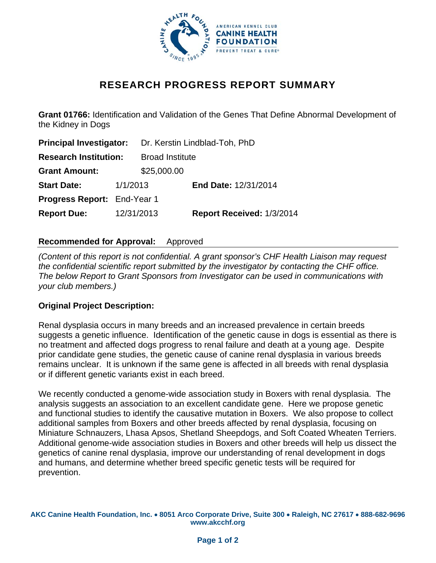

# **RESEARCH PROGRESS REPORT SUMMARY**

**Grant 01766:** Identification and Validation of the Genes That Define Abnormal Development of the Kidney in Dogs

| <b>Principal Investigator:</b>     |            | Dr. Kerstin Lindblad-Toh, PhD |                           |
|------------------------------------|------------|-------------------------------|---------------------------|
| <b>Research Institution:</b>       |            | <b>Broad Institute</b>        |                           |
| <b>Grant Amount:</b>               |            | \$25,000.00                   |                           |
| <b>Start Date:</b>                 | 1/1/2013   |                               | End Date: 12/31/2014      |
| <b>Progress Report: End-Year 1</b> |            |                               |                           |
| <b>Report Due:</b>                 | 12/31/2013 |                               | Report Received: 1/3/2014 |

## **Recommended for Approval:** Approved

*(Content of this report is not confidential. A grant sponsor's CHF Health Liaison may request the confidential scientific report submitted by the investigator by contacting the CHF office. The below Report to Grant Sponsors from Investigator can be used in communications with your club members.)* 

#### **Original Project Description:**

Renal dysplasia occurs in many breeds and an increased prevalence in certain breeds suggests a genetic influence. Identification of the genetic cause in dogs is essential as there is no treatment and affected dogs progress to renal failure and death at a young age. Despite prior candidate gene studies, the genetic cause of canine renal dysplasia in various breeds remains unclear. It is unknown if the same gene is affected in all breeds with renal dysplasia or if different genetic variants exist in each breed.

We recently conducted a genome-wide association study in Boxers with renal dysplasia. The analysis suggests an association to an excellent candidate gene. Here we propose genetic and functional studies to identify the causative mutation in Boxers. We also propose to collect additional samples from Boxers and other breeds affected by renal dysplasia, focusing on Miniature Schnauzers, Lhasa Apsos, Shetland Sheepdogs, and Soft Coated Wheaten Terriers. Additional genome-wide association studies in Boxers and other breeds will help us dissect the genetics of canine renal dysplasia, improve our understanding of renal development in dogs and humans, and determine whether breed specific genetic tests will be required for prevention.